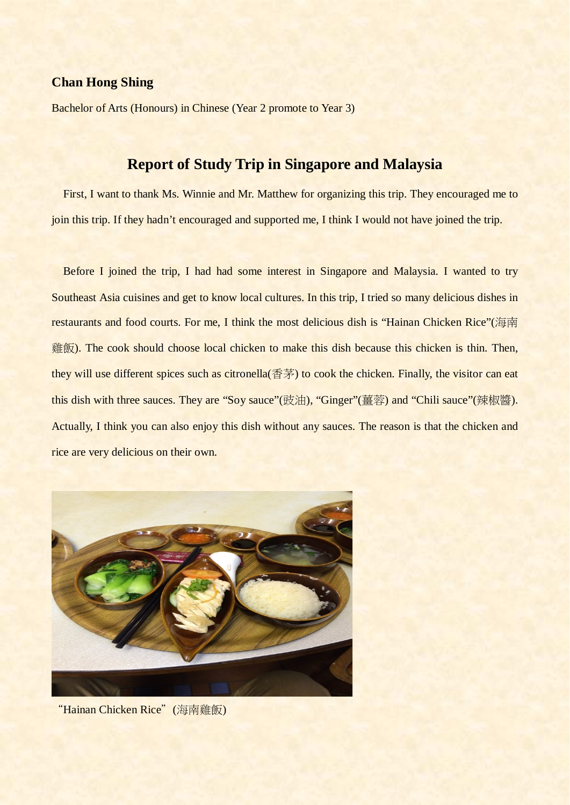## **Chan Hong Shing**

Bachelor of Arts (Honours) in Chinese (Year 2 promote to Year 3)

## **Report of Study Trip in Singapore and Malaysia**

 First, I want to thank Ms. Winnie and Mr. Matthew for organizing this trip. They encouraged me to join this trip. If they hadn't encouraged and supported me, I think I would not have joined the trip.

Before I joined the trip, I had had some interest in Singapore and Malaysia. I wanted to try Southeast Asia cuisines and get to know local cultures. In this trip, I tried so many delicious dishes in restaurants and food courts. For me, I think the most delicious dish is "Hainan Chicken Rice"(海南 雞飯). The cook should choose local chicken to make this dish because this chicken is thin. Then, they will use different spices such as citronella(香茅) to cook the chicken. Finally, the visitor can eat this dish with three sauces. They are "Soy sauce"(豉油), "Ginger"(薑蓉) and "Chili sauce"(辣椒醬). Actually, I think you can also enjoy this dish without any sauces. The reason is that the chicken and rice are very delicious on their own.



"Hainan Chicken Rice"(海南雞飯)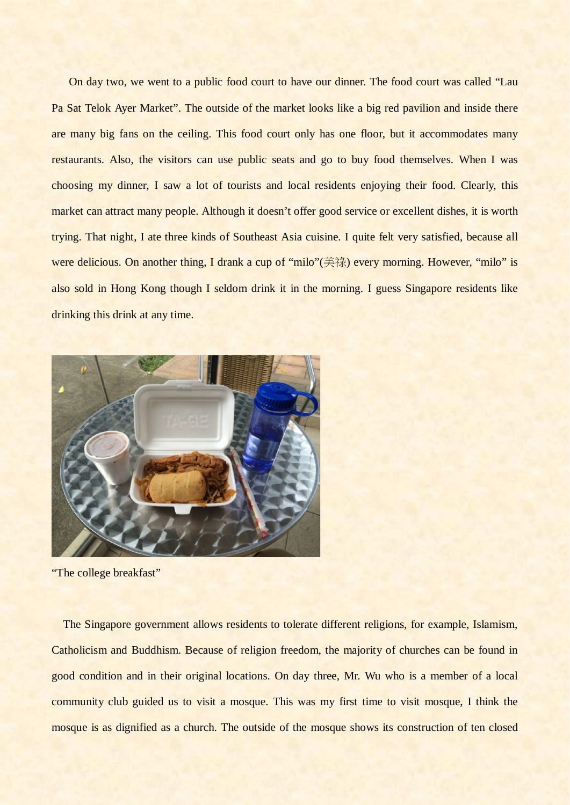On day two, we went to a public food court to have our dinner. The food court was called "Lau Pa Sat Telok Ayer Market". The outside of the market looks like a big red pavilion and inside there are many big fans on the ceiling. This food court only has one floor, but it accommodates many restaurants. Also, the visitors can use public seats and go to buy food themselves. When I was choosing my dinner, I saw a lot of tourists and local residents enjoying their food. Clearly, this market can attract many people. Although it doesn't offer good service or excellent dishes, it is worth trying. That night, I ate three kinds of Southeast Asia cuisine. I quite felt very satisfied, because all were delicious. On another thing, I drank a cup of "milo"(美祿) every morning. However, "milo" is also sold in Hong Kong though I seldom drink it in the morning. I guess Singapore residents like drinking this drink at any time.



"The college breakfast"

The Singapore government allows residents to tolerate different religions, for example, Islamism, Catholicism and Buddhism. Because of religion freedom, the majority of churches can be found in good condition and in their original locations. On day three, Mr. Wu who is a member of a local community club guided us to visit a mosque. This was my first time to visit mosque, I think the mosque is as dignified as a church. The outside of the mosque shows its construction of ten closed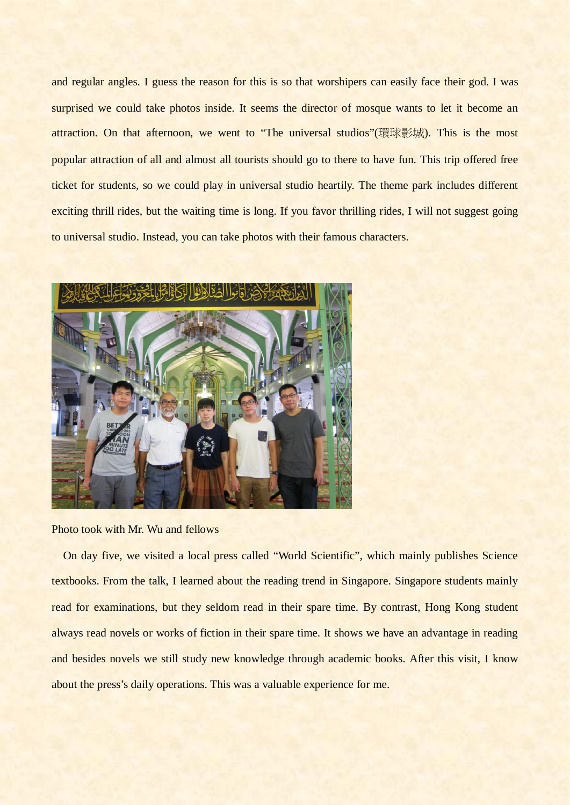and regular angles. I guess the reason for this is so that worshipers can easily face their god. I was surprised we could take photos inside. It seems the director of mosque wants to let it become an attraction. On that afternoon, we went to "The universal studios"(環球影城). This is the most popular attraction of all and almost all tourists should go to there to have fun. This trip offered free ticket for students, so we could play in universal studio heartily. The theme park includes different exciting thrill rides, but the waiting time is long. If you favor thrilling rides, I will not suggest going to universal studio. Instead, you can take photos with their famous characters.



## Photo took with Mr. Wu and fellows

On day five, we visited a local press called "World Scientific", which mainly publishes Science textbooks. From the talk, I learned about the reading trend in Singapore. Singapore students mainly read for examinations, but they seldom read in their spare time. By contrast, Hong Kong student always read novels or works of fiction in their spare time. It shows we have an advantage in reading and besides novels we still study new knowledge through academic books. After this visit, I know about the press's daily operations. This was a valuable experience for me.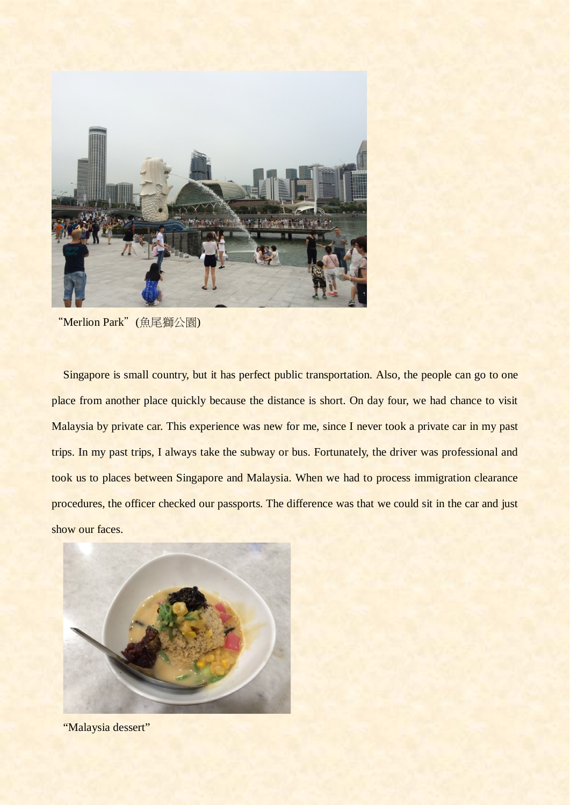

<sup>&</sup>quot;Merlion Park"(魚尾獅公園)

Singapore is small country, but it has perfect public transportation. Also, the people can go to one place from another place quickly because the distance is short. On day four, we had chance to visit Malaysia by private car. This experience was new for me, since I never took a private car in my past trips. In my past trips, I always take the subway or bus. Fortunately, the driver was professional and took us to places between Singapore and Malaysia. When we had to process immigration clearance procedures, the officer checked our passports. The difference was that we could sit in the car and just show our faces.



"Malaysia dessert"